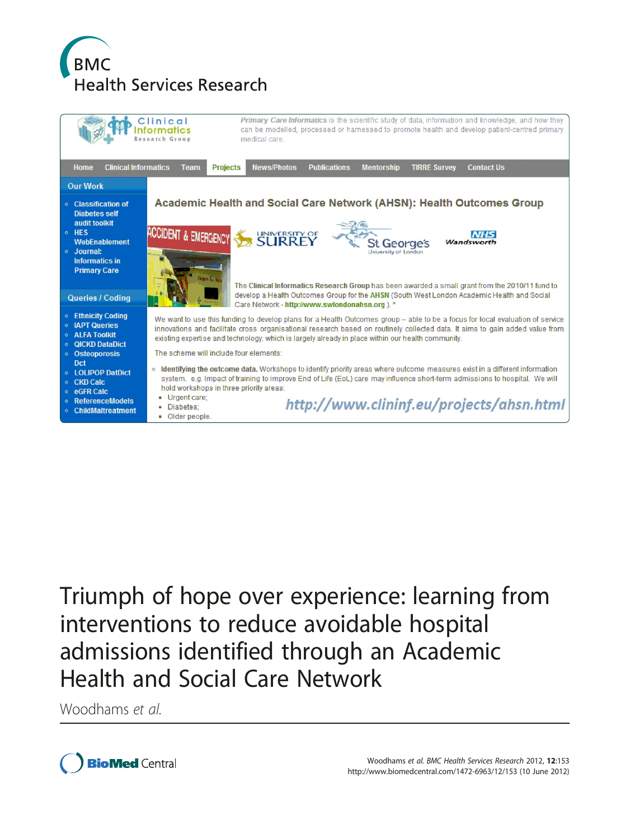

| Clinical<br>'ormatics<br>rch Group                                                                                                                        |                                                                                                                                                                                                                                                                                                                                                                                                                                                         | Primary Care Informatics is the scientific study of data, information and knowledge, and how they<br>can be modelled, processed or harnessed to promote health and develop patient-centred primary<br>medical care. |                      |                     |                                                                                                                             |  |
|-----------------------------------------------------------------------------------------------------------------------------------------------------------|---------------------------------------------------------------------------------------------------------------------------------------------------------------------------------------------------------------------------------------------------------------------------------------------------------------------------------------------------------------------------------------------------------------------------------------------------------|---------------------------------------------------------------------------------------------------------------------------------------------------------------------------------------------------------------------|----------------------|---------------------|-----------------------------------------------------------------------------------------------------------------------------|--|
| <b>Clinical Informatics</b><br>Home                                                                                                                       | <b>Projects</b><br><b>Team</b>                                                                                                                                                                                                                                                                                                                                                                                                                          | <b>News/Photos</b><br><b>Publications</b>                                                                                                                                                                           | <b>Mentorship</b>    | <b>TIRRE Survey</b> | <b>Contact Us</b>                                                                                                           |  |
| <b>Our Work</b>                                                                                                                                           |                                                                                                                                                                                                                                                                                                                                                                                                                                                         |                                                                                                                                                                                                                     |                      |                     |                                                                                                                             |  |
| <b>Classification of</b><br><b>Diabetes self</b><br>audit toolkit<br>o HES<br>WebEnablement<br>o Journal:<br><b>Informatics in</b><br><b>Primary Care</b> | Academic Health and Social Care Network (AHSN): Health Outcomes Group<br><b>ACCIDENT &amp; EMERGENCY</b>                                                                                                                                                                                                                                                                                                                                                | <b>SURREY</b>                                                                                                                                                                                                       | University of London | <b>George's</b>     | <b>NHS</b><br>Wandsworth<br>The Clinical Informatics Research Group has been awarded a small grant from the 2010/11 fund to |  |
| Queries / Coding                                                                                                                                          |                                                                                                                                                                                                                                                                                                                                                                                                                                                         | develop a Health Outcomes Group for the AHSN (South West London Academic Health and Social<br>Care Network - http://www.swlondonahsn.org ). *                                                                       |                      |                     |                                                                                                                             |  |
| ○ Ethnicity Coding<br><b>IAPT Queries</b><br><b>O</b> ALFA Toolkit<br><b>QICKD DataDict</b><br>$\bullet$                                                  | We want to use this funding to develop plans for a Health Outcomes group - able to be a focus for local evaluation of service<br>innovations and facilitate cross organisational research based on routinely collected data. It aims to gain added value from<br>existing expertise and technology, which is largely already in place within our health community.                                                                                      |                                                                                                                                                                                                                     |                      |                     |                                                                                                                             |  |
| <b>Osteoporosis</b><br>Dct<br><b>COLIPOP DatDict</b><br>o CKD Calc<br>o eGFR Calc<br>○ ReferenceModels<br>○ ChildMaltreatment                             | The scheme will include four elements:<br>⊙ Identifying the outcome data. Workshops to identify priority areas where outcome measures exist in a different information<br>system. e.g. Impact of training to improve End of Life (EoL) care may influence short-term admissions to hospital. We will<br>hold workshops in three priority areas:<br>• Urgent care:<br>http://www.clininf.eu/projects/ahsn.html<br>· Diabetes:<br>Older people.<br>and in |                                                                                                                                                                                                                     |                      |                     |                                                                                                                             |  |

Triumph of hope over experience: learning from interventions to reduce avoidable hospital admissions identified through an Academic Health and Social Care Network

Woodhams et al.

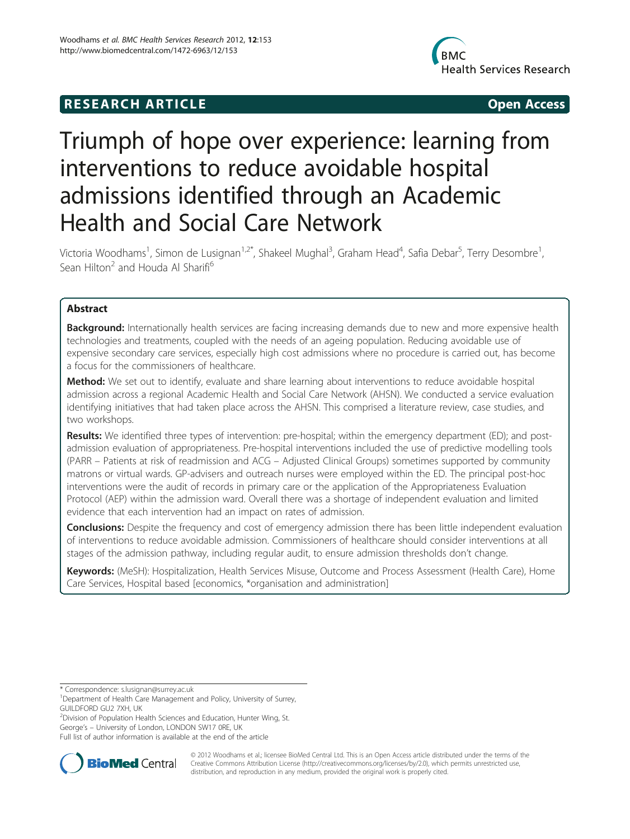# **RESEARCH ARTICLE Example 2014 CONSIDERING CONSIDERING CONSIDERING CONSIDERING CONSIDERING CONSIDERING CONSIDERING CONSIDERING CONSIDERING CONSIDERING CONSIDERING CONSIDERING CONSIDERING CONSIDERING CONSIDERING CONSIDE**



# Triumph of hope over experience: learning from interventions to reduce avoidable hospital admissions identified through an Academic Health and Social Care Network

Victoria Woodhams<sup>1</sup>, Simon de Lusignan<sup>1,2\*</sup>, Shakeel Mughal<sup>3</sup>, Graham Head<sup>4</sup>, Safia Debar<sup>5</sup>, Terry Desombre<sup>1</sup> , Sean Hilton<sup>2</sup> and Houda Al Sharifi<sup>6</sup>

# Abstract

Background: Internationally health services are facing increasing demands due to new and more expensive health technologies and treatments, coupled with the needs of an ageing population. Reducing avoidable use of expensive secondary care services, especially high cost admissions where no procedure is carried out, has become a focus for the commissioners of healthcare.

Method: We set out to identify, evaluate and share learning about interventions to reduce avoidable hospital admission across a regional Academic Health and Social Care Network (AHSN). We conducted a service evaluation identifying initiatives that had taken place across the AHSN. This comprised a literature review, case studies, and two workshops.

Results: We identified three types of intervention: pre-hospital; within the emergency department (ED); and postadmission evaluation of appropriateness. Pre-hospital interventions included the use of predictive modelling tools (PARR – Patients at risk of readmission and ACG – Adjusted Clinical Groups) sometimes supported by community matrons or virtual wards. GP-advisers and outreach nurses were employed within the ED. The principal post-hoc interventions were the audit of records in primary care or the application of the Appropriateness Evaluation Protocol (AEP) within the admission ward. Overall there was a shortage of independent evaluation and limited evidence that each intervention had an impact on rates of admission.

**Conclusions:** Despite the frequency and cost of emergency admission there has been little independent evaluation of interventions to reduce avoidable admission. Commissioners of healthcare should consider interventions at all stages of the admission pathway, including regular audit, to ensure admission thresholds don't change.

Keywords: (MeSH): Hospitalization, Health Services Misuse, Outcome and Process Assessment (Health Care), Home Care Services, Hospital based [economics, \*organisation and administration]

<sup>2</sup> Division of Population Health Sciences and Education, Hunter Wing, St. George's – University of London, LONDON SW17 0RE, UK

Full list of author information is available at the end of the article



© 2012 Woodhams et al.; licensee BioMed Central Ltd. This is an Open Access article distributed under the terms of the Creative Commons Attribution License (<http://creativecommons.org/licenses/by/2.0>), which permits unrestricted use, distribution, and reproduction in any medium, provided the original work is properly cited.

<sup>\*</sup> Correspondence: [s.lusignan@surrey.ac.uk](mailto:s.lusignan@surrey.ac.uk) <sup>1</sup>

<sup>&</sup>lt;sup>1</sup>Department of Health Care Management and Policy, University of Surrey, GUILDFORD GU2 7XH, UK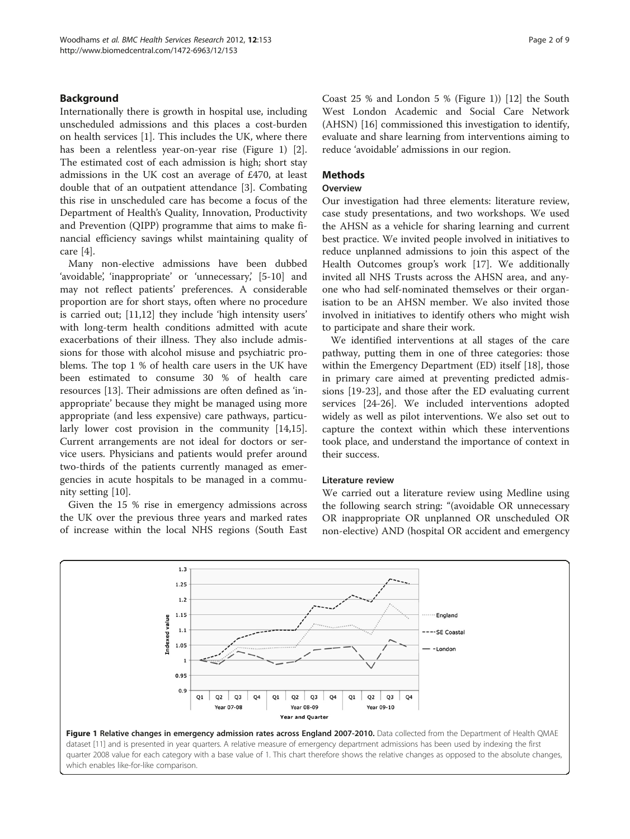# Background

Internationally there is growth in hospital use, including unscheduled admissions and this places a cost-burden on health services [\[1](#page-8-0)]. This includes the UK, where there has been a relentless year-on-year rise (Figure 1) [\[2](#page-8-0)]. The estimated cost of each admission is high; short stay admissions in the UK cost an average of £470, at least double that of an outpatient attendance [\[3](#page-8-0)]. Combating this rise in unscheduled care has become a focus of the Department of Health's Quality, Innovation, Productivity and Prevention (QIPP) programme that aims to make financial efficiency savings whilst maintaining quality of care [[4\]](#page-8-0).

Many non-elective admissions have been dubbed 'avoidable', 'inappropriate' or 'unnecessary,' [[5-10](#page-8-0)] and may not reflect patients' preferences. A considerable proportion are for short stays, often where no procedure is carried out; [[11,12](#page-8-0)] they include 'high intensity users' with long-term health conditions admitted with acute exacerbations of their illness. They also include admissions for those with alcohol misuse and psychiatric problems. The top 1 % of health care users in the UK have been estimated to consume 30 % of health care resources [\[13](#page-8-0)]. Their admissions are often defined as 'inappropriate' because they might be managed using more appropriate (and less expensive) care pathways, particularly lower cost provision in the community [\[14,15](#page-8-0)]. Current arrangements are not ideal for doctors or service users. Physicians and patients would prefer around two-thirds of the patients currently managed as emergencies in acute hospitals to be managed in a community setting [[10](#page-8-0)].

Given the 15 % rise in emergency admissions across the UK over the previous three years and marked rates of increase within the local NHS regions (South East Coast 25 % and London 5 % (Figure 1)) [\[12\]](#page-8-0) the South West London Academic and Social Care Network (AHSN) [\[16](#page-8-0)] commissioned this investigation to identify, evaluate and share learning from interventions aiming to reduce 'avoidable' admissions in our region.

#### Methods

#### **Overview**

Our investigation had three elements: literature review, case study presentations, and two workshops. We used the AHSN as a vehicle for sharing learning and current best practice. We invited people involved in initiatives to reduce unplanned admissions to join this aspect of the Health Outcomes group's work [\[17\]](#page-8-0). We additionally invited all NHS Trusts across the AHSN area, and anyone who had self-nominated themselves or their organisation to be an AHSN member. We also invited those involved in initiatives to identify others who might wish to participate and share their work.

We identified interventions at all stages of the care pathway, putting them in one of three categories: those within the Emergency Department (ED) itself [[18](#page-8-0)], those in primary care aimed at preventing predicted admissions [\[19-23](#page-8-0)], and those after the ED evaluating current services [[24](#page-8-0)-[26\]](#page-8-0). We included interventions adopted widely as well as pilot interventions. We also set out to capture the context within which these interventions took place, and understand the importance of context in their success.

## Literature review

We carried out a literature review using Medline using the following search string: "(avoidable OR unnecessary OR inappropriate OR unplanned OR unscheduled OR non-elective) AND (hospital OR accident and emergency

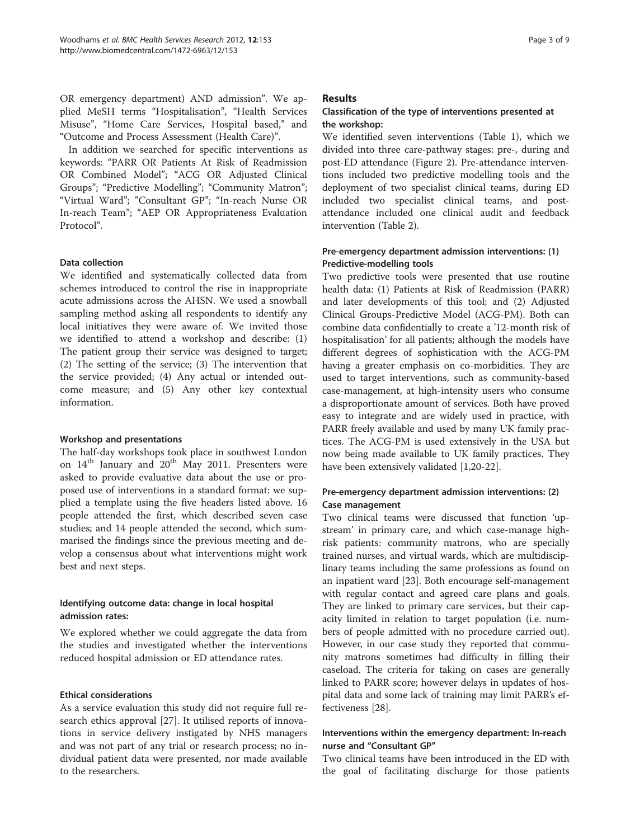OR emergency department) AND admission". We applied MeSH terms "Hospitalisation", "Health Services Misuse", "Home Care Services, Hospital based," and "Outcome and Process Assessment (Health Care)".

In addition we searched for specific interventions as keywords: "PARR OR Patients At Risk of Readmission OR Combined Model"; "ACG OR Adjusted Clinical Groups"; "Predictive Modelling"; "Community Matron"; "Virtual Ward"; "Consultant GP"; "In-reach Nurse OR In-reach Team"; "AEP OR Appropriateness Evaluation Protocol".

## Data collection

We identified and systematically collected data from schemes introduced to control the rise in inappropriate acute admissions across the AHSN. We used a snowball sampling method asking all respondents to identify any local initiatives they were aware of. We invited those we identified to attend a workshop and describe: (1) The patient group their service was designed to target; (2) The setting of the service; (3) The intervention that the service provided; (4) Any actual or intended outcome measure; and (5) Any other key contextual information.

#### Workshop and presentations

The half-day workshops took place in southwest London on  $14<sup>th</sup>$  January and  $20<sup>th</sup>$  May 2011. Presenters were asked to provide evaluative data about the use or proposed use of interventions in a standard format: we supplied a template using the five headers listed above. 16 people attended the first, which described seven case studies; and 14 people attended the second, which summarised the findings since the previous meeting and develop a consensus about what interventions might work best and next steps.

# Identifying outcome data: change in local hospital admission rates:

We explored whether we could aggregate the data from the studies and investigated whether the interventions reduced hospital admission or ED attendance rates.

# Ethical considerations

As a service evaluation this study did not require full research ethics approval [[27](#page-8-0)]. It utilised reports of innovations in service delivery instigated by NHS managers and was not part of any trial or research process; no individual patient data were presented, nor made available to the researchers.

## Results

# Classification of the type of interventions presented at the workshop:

We identified seven interventions (Table [1\)](#page-4-0), which we divided into three care-pathway stages: pre-, during and post-ED attendance (Figure [2](#page-4-0)). Pre-attendance interventions included two predictive modelling tools and the deployment of two specialist clinical teams, during ED included two specialist clinical teams, and postattendance included one clinical audit and feedback intervention (Table [2\)](#page-5-0).

# Pre-emergency department admission interventions: (1) Predictive-modelling tools

Two predictive tools were presented that use routine health data: (1) Patients at Risk of Readmission (PARR) and later developments of this tool; and (2) Adjusted Clinical Groups-Predictive Model (ACG-PM). Both can combine data confidentially to create a '12-month risk of hospitalisation' for all patients; although the models have different degrees of sophistication with the ACG-PM having a greater emphasis on co-morbidities. They are used to target interventions, such as community-based case-management, at high-intensity users who consume a disproportionate amount of services. Both have proved easy to integrate and are widely used in practice, with PARR freely available and used by many UK family practices. The ACG-PM is used extensively in the USA but now being made available to UK family practices. They have been extensively validated [\[1,20](#page-8-0)-[22\]](#page-8-0).

# Pre-emergency department admission interventions: (2) Case management

Two clinical teams were discussed that function 'upstream' in primary care, and which case-manage highrisk patients: community matrons, who are specially trained nurses, and virtual wards, which are multidisciplinary teams including the same professions as found on an inpatient ward [\[23](#page-8-0)]. Both encourage self-management with regular contact and agreed care plans and goals. They are linked to primary care services, but their capacity limited in relation to target population (i.e. numbers of people admitted with no procedure carried out). However, in our case study they reported that community matrons sometimes had difficulty in filling their caseload. The criteria for taking on cases are generally linked to PARR score; however delays in updates of hospital data and some lack of training may limit PARR's effectiveness [[28](#page-9-0)].

# Interventions within the emergency department: In-reach nurse and "Consultant GP"

Two clinical teams have been introduced in the ED with the goal of facilitating discharge for those patients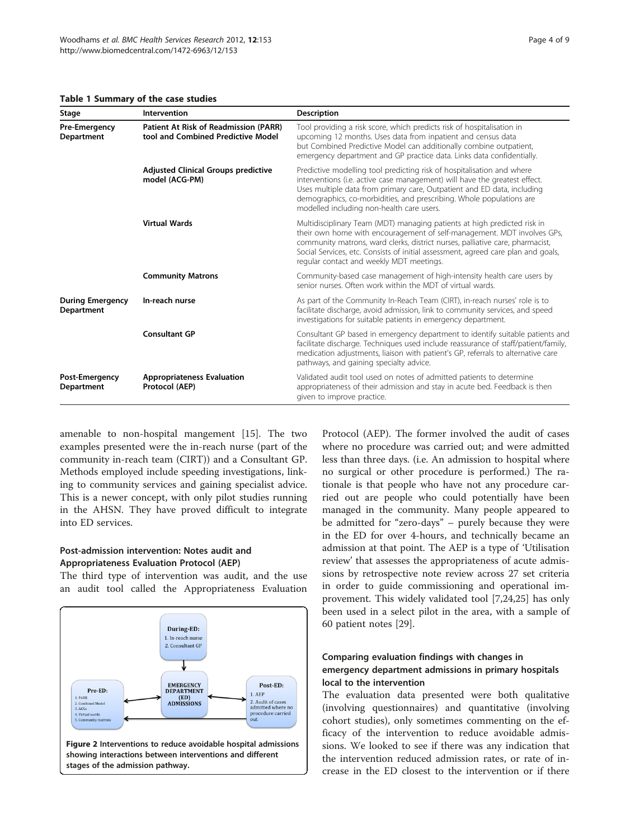<span id="page-4-0"></span>Table 1 Summary of the case studies

| Stage                                 | Intervention                                                                | <b>Description</b>                                                                                                                                                                                                                                                                                                                                                    |  |
|---------------------------------------|-----------------------------------------------------------------------------|-----------------------------------------------------------------------------------------------------------------------------------------------------------------------------------------------------------------------------------------------------------------------------------------------------------------------------------------------------------------------|--|
| <b>Pre-Emergency</b><br>Department    | Patient At Risk of Readmission (PARR)<br>tool and Combined Predictive Model | Tool providing a risk score, which predicts risk of hospitalisation in<br>upcoming 12 months. Uses data from inpatient and census data<br>but Combined Predictive Model can additionally combine outpatient,<br>emergency department and GP practice data. Links data confidentially.                                                                                 |  |
|                                       | <b>Adjusted Clinical Groups predictive</b><br>model (ACG-PM)                | Predictive modelling tool predicting risk of hospitalisation and where<br>interventions (i.e. active case management) will have the greatest effect.<br>Uses multiple data from primary care, Outpatient and ED data, including<br>demographics, co-morbidities, and prescribing. Whole populations are<br>modelled including non-health care users.                  |  |
|                                       | <b>Virtual Wards</b>                                                        | Multidisciplinary Team (MDT) managing patients at high predicted risk in<br>their own home with encouragement of self-management. MDT involves GPs,<br>community matrons, ward clerks, district nurses, palliative care, pharmacist,<br>Social Services, etc. Consists of initial assessment, agreed care plan and goals,<br>regular contact and weekly MDT meetings. |  |
|                                       | <b>Community Matrons</b>                                                    | Community-based case management of high-intensity health care users by<br>senior nurses. Often work within the MDT of virtual wards.                                                                                                                                                                                                                                  |  |
| <b>During Emergency</b><br>Department | In-reach nurse                                                              | As part of the Community In-Reach Team (CIRT), in-reach nurses' role is to<br>facilitate discharge, avoid admission, link to community services, and speed<br>investigations for suitable patients in emergency department.                                                                                                                                           |  |
|                                       | <b>Consultant GP</b>                                                        | Consultant GP based in emergency department to identify suitable patients and<br>facilitate discharge. Techniques used include reassurance of staff/patient/family,<br>medication adjustments, liaison with patient's GP, referrals to alternative care<br>pathways, and gaining specialty advice.                                                                    |  |
| Post-Emergency<br>Department          | <b>Appropriateness Evaluation</b><br>Protocol (AEP)                         | Validated audit tool used on notes of admitted patients to determine<br>appropriateness of their admission and stay in acute bed. Feedback is then<br>given to improve practice.                                                                                                                                                                                      |  |

amenable to non-hospital mangement [[15\]](#page-8-0). The two examples presented were the in-reach nurse (part of the community in-reach team (CIRT)) and a Consultant GP. Methods employed include speeding investigations, linking to community services and gaining specialist advice. This is a newer concept, with only pilot studies running in the AHSN. They have proved difficult to integrate into ED services.

# Post-admission intervention: Notes audit and Appropriateness Evaluation Protocol (AEP)

The third type of intervention was audit, and the use an audit tool called the Appropriateness Evaluation



Protocol (AEP). The former involved the audit of cases where no procedure was carried out; and were admitted less than three days. (i.e. An admission to hospital where no surgical or other procedure is performed.) The rationale is that people who have not any procedure carried out are people who could potentially have been managed in the community. Many people appeared to be admitted for "zero-days" – purely because they were in the ED for over 4-hours, and technically became an admission at that point. The AEP is a type of 'Utilisation review' that assesses the appropriateness of acute admissions by retrospective note review across 27 set criteria in order to guide commissioning and operational improvement. This widely validated tool [\[7,24,25](#page-8-0)] has only been used in a select pilot in the area, with a sample of 60 patient notes [\[29\]](#page-9-0).

# Comparing evaluation findings with changes in emergency department admissions in primary hospitals local to the intervention

The evaluation data presented were both qualitative (involving questionnaires) and quantitative (involving cohort studies), only sometimes commenting on the efficacy of the intervention to reduce avoidable admissions. We looked to see if there was any indication that the intervention reduced admission rates, or rate of increase in the ED closest to the intervention or if there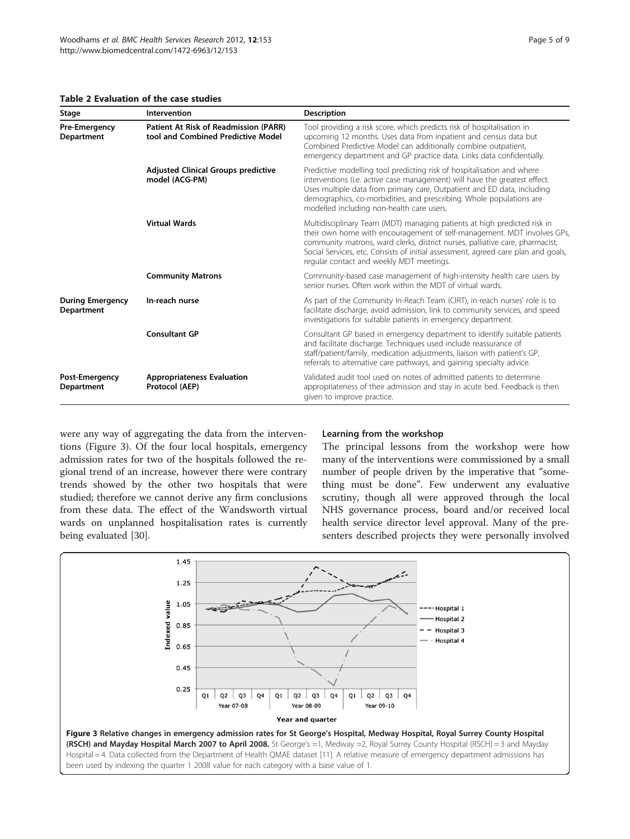<span id="page-5-0"></span>Table 2 Evaluation of the case studies

| Stage                                 | Intervention                                                                | <b>Description</b>                                                                                                                                                                                                                                                                                                                                                    |  |
|---------------------------------------|-----------------------------------------------------------------------------|-----------------------------------------------------------------------------------------------------------------------------------------------------------------------------------------------------------------------------------------------------------------------------------------------------------------------------------------------------------------------|--|
| <b>Pre-Emergency</b><br>Department    | Patient At Risk of Readmission (PARR)<br>tool and Combined Predictive Model | Tool providing a risk score, which predicts risk of hospitalisation in<br>upcoming 12 months. Uses data from inpatient and census data but<br>Combined Predictive Model can additionally combine outpatient,<br>emergency department and GP practice data. Links data confidentially.                                                                                 |  |
|                                       | <b>Adjusted Clinical Groups predictive</b><br>model (ACG-PM)                | Predictive modelling tool predicting risk of hospitalisation and where<br>interventions (i.e. active case management) will have the greatest effect.<br>Uses multiple data from primary care, Outpatient and ED data, including<br>demographics, co-morbidities, and prescribing. Whole populations are<br>modelled including non-health care users.                  |  |
|                                       | <b>Virtual Wards</b>                                                        | Multidisciplinary Team (MDT) managing patients at high predicted risk in<br>their own home with encouragement of self-management. MDT involves GPs,<br>community matrons, ward clerks, district nurses, palliative care, pharmacist,<br>Social Services, etc. Consists of initial assessment, agreed care plan and goals,<br>regular contact and weekly MDT meetings. |  |
|                                       | <b>Community Matrons</b>                                                    | Community-based case management of high-intensity health care users by<br>senior nurses. Often work within the MDT of virtual wards.                                                                                                                                                                                                                                  |  |
| <b>During Emergency</b><br>Department | In-reach nurse                                                              | As part of the Community In-Reach Team (CIRT), in-reach nurses' role is to<br>facilitate discharge, avoid admission, link to community services, and speed<br>investigations for suitable patients in emergency department.                                                                                                                                           |  |
|                                       | <b>Consultant GP</b>                                                        | Consultant GP based in emergency department to identify suitable patients<br>and facilitate discharge. Techniques used include reassurance of<br>staff/patient/family, medication adjustments, liaison with patient's GP,<br>referrals to alternative care pathways, and gaining specialty advice.                                                                    |  |
| Post-Emergency<br>Department          | <b>Appropriateness Evaluation</b><br>Protocol (AEP)                         | Validated audit tool used on notes of admitted patients to determine<br>appropriateness of their admission and stay in acute bed. Feedback is then<br>given to improve practice.                                                                                                                                                                                      |  |

were any way of aggregating the data from the interventions (Figure 3). Of the four local hospitals, emergency admission rates for two of the hospitals followed the regional trend of an increase, however there were contrary trends showed by the other two hospitals that were studied; therefore we cannot derive any firm conclusions from these data. The effect of the Wandsworth virtual wards on unplanned hospitalisation rates is currently being evaluated [[30\]](#page-9-0).

### Learning from the workshop

The principal lessons from the workshop were how many of the interventions were commissioned by a small number of people driven by the imperative that "something must be done". Few underwent any evaluative scrutiny, though all were approved through the local NHS governance process, board and/or received local health service director level approval. Many of the presenters described projects they were personally involved

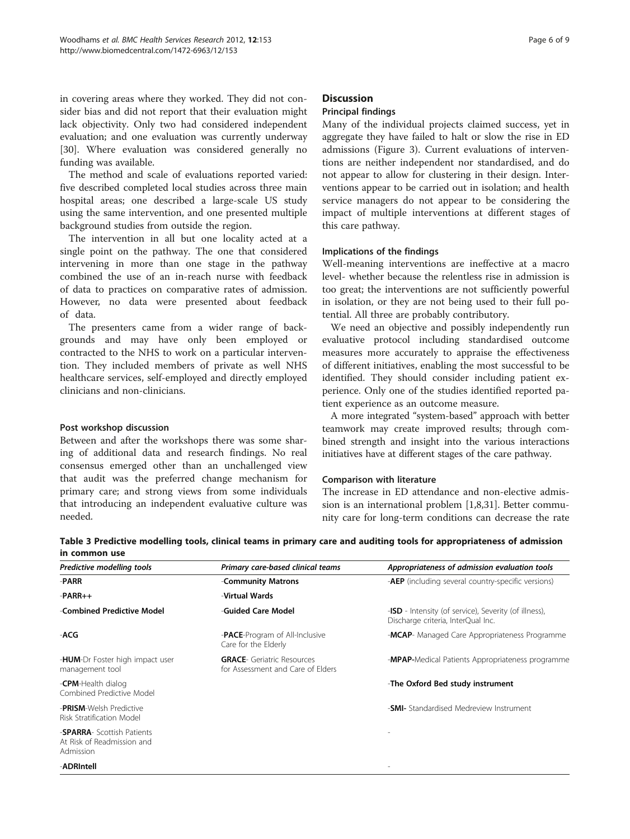<span id="page-6-0"></span>in covering areas where they worked. They did not consider bias and did not report that their evaluation might lack objectivity. Only two had considered independent evaluation; and one evaluation was currently underway [[30\]](#page-9-0). Where evaluation was considered generally no funding was available.

The method and scale of evaluations reported varied: five described completed local studies across three main hospital areas; one described a large-scale US study using the same intervention, and one presented multiple background studies from outside the region.

The intervention in all but one locality acted at a single point on the pathway. The one that considered intervening in more than one stage in the pathway combined the use of an in-reach nurse with feedback of data to practices on comparative rates of admission. However, no data were presented about feedback of data.

The presenters came from a wider range of backgrounds and may have only been employed or contracted to the NHS to work on a particular intervention. They included members of private as well NHS healthcare services, self-employed and directly employed clinicians and non-clinicians.

# Post workshop discussion

Between and after the workshops there was some sharing of additional data and research findings. No real consensus emerged other than an unchallenged view that audit was the preferred change mechanism for primary care; and strong views from some individuals that introducing an independent evaluative culture was needed.

## **Discussion**

# Principal findings

Many of the individual projects claimed success, yet in aggregate they have failed to halt or slow the rise in ED admissions (Figure [3](#page-5-0)). Current evaluations of interventions are neither independent nor standardised, and do not appear to allow for clustering in their design. Interventions appear to be carried out in isolation; and health service managers do not appear to be considering the impact of multiple interventions at different stages of this care pathway.

#### Implications of the findings

Well-meaning interventions are ineffective at a macro level- whether because the relentless rise in admission is too great; the interventions are not sufficiently powerful in isolation, or they are not being used to their full potential. All three are probably contributory.

We need an objective and possibly independently run evaluative protocol including standardised outcome measures more accurately to appraise the effectiveness of different initiatives, enabling the most successful to be identified. They should consider including patient experience. Only one of the studies identified reported patient experience as an outcome measure.

A more integrated "system-based" approach with better teamwork may create improved results; through combined strength and insight into the various interactions initiatives have at different stages of the care pathway.

#### Comparison with literature

The increase in ED attendance and non-elective admission is an international problem [[1](#page-8-0),[8](#page-8-0),[31](#page-9-0)]. Better community care for long-term conditions can decrease the rate

Table 3 Predictive modelling tools, clinical teams in primary care and auditing tools for appropriateness of admission in common use

| Predictive modelling tools                                            | Primary care-based clinical teams                                      | Appropriateness of admission evaluation tools                                                      |
|-----------------------------------------------------------------------|------------------------------------------------------------------------|----------------------------------------------------------------------------------------------------|
| -PARR                                                                 | -Community Matrons                                                     | -AEP (including several country-specific versions)                                                 |
| -PARR++                                                               | -Virtual Wards                                                         |                                                                                                    |
| -Combined Predictive Model                                            | -Guided Care Model                                                     | <b>-ISD</b> - Intensity (of service), Severity (of illness),<br>Discharge criteria, InterQual Inc. |
| -ACG                                                                  | - <b>PACE</b> -Program of All-Inclusive<br>Care for the Elderly        | -MCAP- Managed Care Appropriateness Programme                                                      |
| -HUM-Dr Foster high impact user<br>management tool                    | <b>GRACE-</b> Geriatric Resources<br>for Assessment and Care of Elders | - <b>MPAP-</b> Medical Patients Appropriateness programme                                          |
| -CPM-Health dialog<br>Combined Predictive Model                       |                                                                        | -The Oxford Bed study instrument                                                                   |
| -PRISM-Welsh Predictive<br>Risk Stratification Model                  |                                                                        | - <b>SMI-</b> Standardised Medreview Instrument                                                    |
| -SPARRA- Scottish Patients<br>At Risk of Readmission and<br>Admission |                                                                        |                                                                                                    |
| -ADRIntell                                                            |                                                                        |                                                                                                    |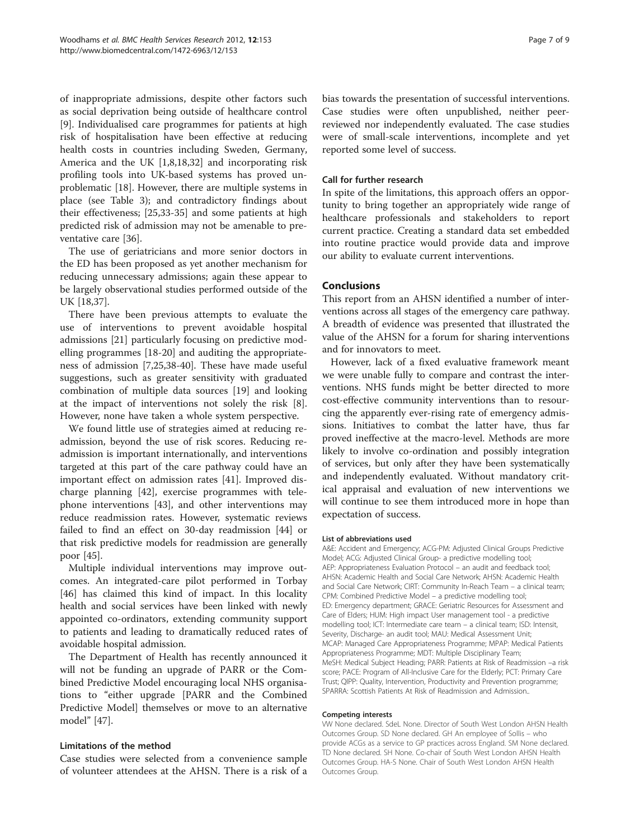of inappropriate admissions, despite other factors such as social deprivation being outside of healthcare control [[9\]](#page-8-0). Individualised care programmes for patients at high risk of hospitalisation have been effective at reducing health costs in countries including Sweden, Germany, America and the UK [\[1,8,18](#page-8-0)[,32](#page-9-0)] and incorporating risk profiling tools into UK-based systems has proved unproblematic [[18\]](#page-8-0). However, there are multiple systems in place (see Table [3\)](#page-6-0); and contradictory findings about their effectiveness; [[25](#page-8-0)[,33](#page-9-0)-[35\]](#page-9-0) and some patients at high predicted risk of admission may not be amenable to preventative care [\[36](#page-9-0)].

The use of geriatricians and more senior doctors in the ED has been proposed as yet another mechanism for reducing unnecessary admissions; again these appear to be largely observational studies performed outside of the UK [\[18](#page-8-0)[,37](#page-9-0)].

There have been previous attempts to evaluate the use of interventions to prevent avoidable hospital admissions [[21\]](#page-8-0) particularly focusing on predictive modelling programmes [[18-20\]](#page-8-0) and auditing the appropriateness of admission [[7,25,](#page-8-0)[38-40](#page-9-0)]. These have made useful suggestions, such as greater sensitivity with graduated combination of multiple data sources [\[19](#page-8-0)] and looking at the impact of interventions not solely the risk [\[8](#page-8-0)]. However, none have taken a whole system perspective.

We found little use of strategies aimed at reducing readmission, beyond the use of risk scores. Reducing readmission is important internationally, and interventions targeted at this part of the care pathway could have an important effect on admission rates [[41\]](#page-9-0). Improved discharge planning [[42](#page-9-0)], exercise programmes with telephone interventions [[43\]](#page-9-0), and other interventions may reduce readmission rates. However, systematic reviews failed to find an effect on 30-day readmission [[44\]](#page-9-0) or that risk predictive models for readmission are generally poor [[45\]](#page-9-0).

Multiple individual interventions may improve outcomes. An integrated-care pilot performed in Torbay [[46\]](#page-9-0) has claimed this kind of impact. In this locality health and social services have been linked with newly appointed co-ordinators, extending community support to patients and leading to dramatically reduced rates of avoidable hospital admission.

The Department of Health has recently announced it will not be funding an upgrade of PARR or the Combined Predictive Model encouraging local NHS organisations to "either upgrade [PARR and the Combined Predictive Model] themselves or move to an alternative model" [[47\]](#page-9-0).

#### Limitations of the method

Case studies were selected from a convenience sample of volunteer attendees at the AHSN. There is a risk of a bias towards the presentation of successful interventions. Case studies were often unpublished, neither peerreviewed nor independently evaluated. The case studies were of small-scale interventions, incomplete and yet reported some level of success.

## Call for further research

In spite of the limitations, this approach offers an opportunity to bring together an appropriately wide range of healthcare professionals and stakeholders to report current practice. Creating a standard data set embedded into routine practice would provide data and improve our ability to evaluate current interventions.

# Conclusions

This report from an AHSN identified a number of interventions across all stages of the emergency care pathway. A breadth of evidence was presented that illustrated the value of the AHSN for a forum for sharing interventions and for innovators to meet.

However, lack of a fixed evaluative framework meant we were unable fully to compare and contrast the interventions. NHS funds might be better directed to more cost-effective community interventions than to resourcing the apparently ever-rising rate of emergency admissions. Initiatives to combat the latter have, thus far proved ineffective at the macro-level. Methods are more likely to involve co-ordination and possibly integration of services, but only after they have been systematically and independently evaluated. Without mandatory critical appraisal and evaluation of new interventions we will continue to see them introduced more in hope than expectation of success.

#### List of abbreviations used

A&E: Accident and Emergency; ACG-PM: Adjusted Clinical Groups Predictive Model; ACG: Adjusted Clinical Group- a predictive modelling tool; AEP: Appropriateness Evaluation Protocol – an audit and feedback tool; AHSN: Academic Health and Social Care Network; AHSN: Academic Health and Social Care Network; CIRT: Community In-Reach Team – a clinical team; CPM: Combined Predictive Model – a predictive modelling tool; ED: Emergency department; GRACE: Geriatric Resources for Assessment and Care of Elders; HUM: High impact User management tool - a predictive modelling tool; ICT: Intermediate care team – a clinical team; ISD: Intensit, Severity, Discharge- an audit tool; MAU: Medical Assessment Unit; MCAP: Managed Care Appropriateness Programme; MPAP: Medical Patients Appropriateness Programme; MDT: Multiple Disciplinary Team; MeSH: Medical Subject Heading; PARR: Patients at Risk of Readmission –a risk score; PACE: Program of All-Inclusive Care for the Elderly; PCT: Primary Care Trust; QIPP: Quality, Intervention, Productivity and Prevention programme; SPARRA: Scottish Patients At Risk of Readmission and Admission..

#### Competing interests

VW None declared. SdeL None. Director of South West London AHSN Health Outcomes Group. SD None declared. GH An employee of Sollis – who provide ACGs as a service to GP practices across England. SM None declared. TD None declared. SH None. Co-chair of South West London AHSN Health Outcomes Group. HA-S None. Chair of South West London AHSN Health Outcomes Group.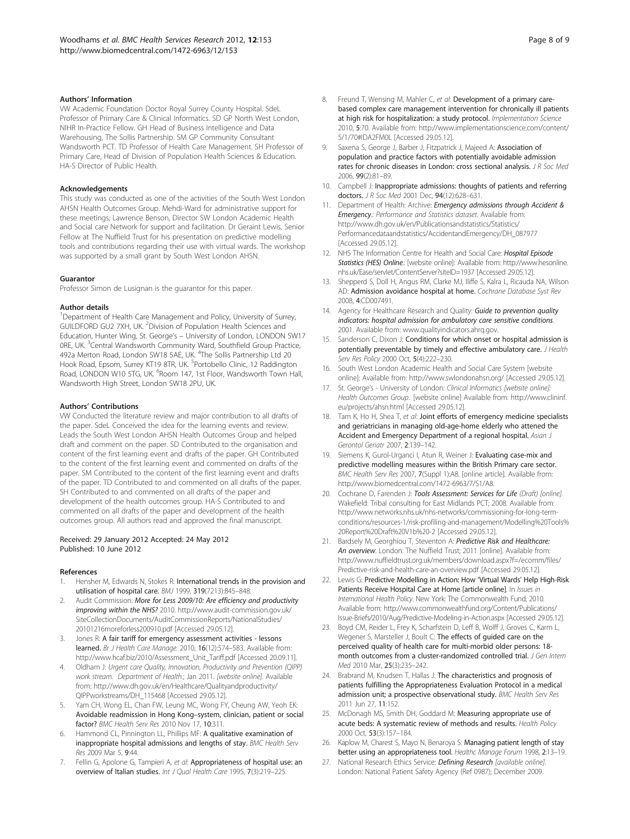#### <span id="page-8-0"></span>Authors' Information

VW Academic Foundation Doctor Royal Surrey County Hospital. SdeL Professor of Primary Care & Clinical Informatics. SD GP North West London, NIHR In-Practice Fellow. GH Head of Business Intelligence and Data Warehousing, The Sollis Partnership. SM GP Community Consultant Wandsworth PCT. TD Professor of Health Care Management. SH Professor of Primary Care, Head of Division of Population Health Sciences & Education. HA-S Director of Public Health.

#### Acknowledgements

This study was conducted as one of the activities of the South West London AHSN Health Outcomes Group. Mehdi-Ward for administrative support for these meetings; Lawrence Benson, Director SW London Academic Health and Social care Network for support and facilitation. Dr Geraint Lewis, Senior Fellow at The Nuffield Trust for his presentation on predictive modelling tools and contributions regarding their use with virtual wards. The workshop was supported by a small grant by South West London AHSN.

#### Guarantor

Professor Simon de Lusignan is the guarantor for this paper.

#### Author details

<sup>1</sup>Department of Health Care Management and Policy, University of Surrey, GUILDFORD GU2 7XH, UK. <sup>2</sup>Division of Population Health Sciences and Education, Hunter Wing, St. George's – University of London, LONDON SW17 0RE, UK. <sup>3</sup>Central Wandsworth Community Ward, Southfield Group Practice, 492a Merton Road, London SW18 5AE, UK. <sup>4</sup>The Sollis Partnership Ltd 20 Hook Road, Epsom, Surrey KT19 8TR, UK. <sup>5</sup>Portobello Clinic, 12 Raddington Road, LONDON W10 5TG, UK. <sup>6</sup>Room 147, 1st Floor, Wandsworth Town Hall, Wandsworth High Street, London SW18 2PU, UK.

#### Authors' Contributions

VW Conducted the literature review and major contribution to all drafts of the paper. SdeL Conceived the idea for the learning events and review. Leads the South West London AHSN Health Outcomes Group and helped draft and comment on the paper. SD Contributed to the organisation and content of the first learning event and drafts of the paper. GH Contributed to the content of the first learning event and commented on drafts of the paper. SM Contributed to the content of the first learning event and drafts of the paper. TD Contributed to and commented on all drafts of the paper. SH Contributed to and commented on all drafts of the paper and development of the health outcomes group. HA-S Contributed to and commented on all drafts of the paper and development of the health outcomes group. All authors read and approved the final manuscript.

#### Received: 29 January 2012 Accepted: 24 May 2012 Published: 10 June 2012

#### References

- 1. Hensher M, Edwards N, Stokes R: International trends in the provision and utilisation of hospital care. BMJ 1999, 319(7213):845–848.
- 2. Audit Commission: More for Less 2009/10: Are efficiency and productivity improving within the NHS? 2010. [http://www.audit-commission.gov.uk/](http://www.audit-commission.gov.uk/SiteCollectionDocuments/AuditCommissionReports/NationalStudies/20101216moreforless200910.pdf) [SiteCollectionDocuments/AuditCommissionReports/NationalStudies/](http://www.audit-commission.gov.uk/SiteCollectionDocuments/AuditCommissionReports/NationalStudies/20101216moreforless200910.pdf) [20101216moreforless200910.pdf](http://www.audit-commission.gov.uk/SiteCollectionDocuments/AuditCommissionReports/NationalStudies/20101216moreforless200910.pdf) [Accessed 29.05.12].
- 3. Jones R: A fair tariff for emergency assessment activities lessons learned. Br J Health Care Manage. 2010, 16(12):574-583. Available from: [http://www.hcaf.biz/2010/Assessment\\_Unit\\_Tariff.pdf](http://www.hcaf.biz/2010/Assessment_Unit_Tariff.pdf) [Accessed 20.09.11].
- 4. Oldham J: Urgent care Quality, Innovation, Productivity and Prevention (QIPP) work stream. Department of Health.; Jan 2011. [website online]. Available from: [http://www.dh.gov.uk/en/Healthcare/Qualityandproductivity/](http://www.dh.gov.uk/en/Healthcare/Qualityandproductivity/QIPPworkstreams/DH_115468) [QIPPworkstreams/DH\\_115468](http://www.dh.gov.uk/en/Healthcare/Qualityandproductivity/QIPPworkstreams/DH_115468) [Accessed 29.05.12].
- 5. Yam CH, Wong EL, Chan FW, Leung MC, Wong FY, Cheung AW, Yeoh EK: Avoidable readmission in Hong Kong–system, clinician, patient or social factor? BMC Health Serv Res 2010 Nov 17, 10:311.
- Hammond CL, Pinnington LL, Phillips MF: A qualitative examination of inappropriate hospital admissions and lengths of stay. BMC Health Serv Res 2009 Mar 5, 9:44.
- 7. Fellin G, Apolone G, Tampieri A, et al: Appropriateness of hospital use: an overview of Italian studies. Int J Qual Health Care 1995, 7(3):219–225.
- Freund T, Wensing M, Mahler C, et al: Development of a primary carebased complex care management intervention for chronically ill patients at high risk for hospitalization: a study protocol. Implementation Science 2010, 5:70. Available from: [http://www.implementationscience.com/content/](http://www.implementationscience.com/content/5/1/70#IDA2FM0L) [5/1/70#IDA2FM0L](http://www.implementationscience.com/content/5/1/70#IDA2FM0L) [Accessed 29.05.12].
- 9. Saxena S, George J, Barber J, Fitzpatrick J, Majeed A: Association of population and practice factors with potentially avoidable admission rates for chronic diseases in London: cross sectional analysis. J R Soc Med 2006, 99(2):81–89.
- 10. Campbell J: Inappropriate admissions: thoughts of patients and referring doctors. J R Soc Med 2001 Dec, 94(12):628–631.
- 11. Department of Health: Archive: Emergency admissions through Accident & Emergency.: Performance and Statistics dataset. Available from: [http://www.dh.gov.uk/en/Publicationsandstatistics/Statistics/](http://www.dh.gov.uk/en/Publicationsandstatistics/Statistics/Performancedataandstatistics/AccidentandEmergency/DH_087977) [Performancedataandstatistics/AccidentandEmergency/DH\\_087977](http://www.dh.gov.uk/en/Publicationsandstatistics/Statistics/Performancedataandstatistics/AccidentandEmergency/DH_087977) [Accessed 29.05.12].
- 12. NHS The Information Centre for Health and Social Care: Hospital Episode Statistics (HES) Online.: [website online]: Available from: [http://www.hesonline.](http://www.hesonline.nhs.uk/Ease/servlet/ContentServer?siteID=1937) [nhs.uk/Ease/servlet/ContentServer?siteID=1937](http://www.hesonline.nhs.uk/Ease/servlet/ContentServer?siteID=1937) [Accessed 29.05.12].
- 13. Shepperd S, Doll H, Angus RM, Clarke MJ, Iliffe S, Kalra L, Ricauda NA, Wilson AD: Admission avoidance hospital at home. Cochrane Database Syst Rev 2008, 4:CD007491.
- 14. Agency for Healthcare Research and Quality: Guide to prevention quality indicators: hospital admission for ambulatory care sensitive conditions. 2001. Available from: [www.qualityindicators.ahrq.gov](http://www.qualityindicators.ahrq.gov).
- 15. Sanderson C, Dixon J: Conditions for which onset or hospital admission is potentially preventable by timely and effective ambulatory care. J Health Serv Res Policy 2000 Oct, 5(4):222-230.
- 16. South West London Academic Health and Social Care System [website online]: Available from:<http://www.swlondonahsn.org/> [Accessed 29.05.12].
- 17. St. George's University of London: Clinical Informatics [website online]: Health Outcomes Group. [website online] Available from: [http://www.clininf.](http://www.clininf.eu/projects/ahsn.html) [eu/projects/ahsn.html](http://www.clininf.eu/projects/ahsn.html) [Accessed 29.05.12].
- 18. Tam K, Ho H, Shea T, et al: Joint efforts of emergency medicine specialists and geriatricians in managing old-age-home elderly who attened the Accident and Emergency Department of a regional hospital. Asian J Gerontol Geriatr 2007, 2:139–142.
- 19. Siemens K, Gurol-Urganci I, Atun R, Weiner J: Evaluating case-mix and predictive modelling measures within the British Primary care sector. BMC Health Serv Res 2007, 7(Suppl 1):A8. [online article]. Available from: <http://www.biomedcentral.com/1472-6963/7/S1/A8>.
- 20. Cochrane D, Farenden J: Tools Assessment: Services for Life (Draft) [online]. Wakefield: Tribal consulting for East Midlands PCT; 2008. Available from: [http://www.networks.nhs.uk/nhs-networks/commissioning-for-long-term](http://www.networks.nhs.uk/nhs-networks/commissioning-for-long-term-conditions/resources-1/risk-profiling-and-management/Modelling%20Tools%20Report%20Draft%20V1b%20-2)[conditions/resources-1/risk-profiling-and-management/Modelling%20Tools%](http://www.networks.nhs.uk/nhs-networks/commissioning-for-long-term-conditions/resources-1/risk-profiling-and-management/Modelling%20Tools%20Report%20Draft%20V1b%20-2) [20Report%20Draft%20V1b%20-2](http://www.networks.nhs.uk/nhs-networks/commissioning-for-long-term-conditions/resources-1/risk-profiling-and-management/Modelling%20Tools%20Report%20Draft%20V1b%20-2) [Accessed 29.05.12].
- 21. Bardsely M, Georghiou T, Steventon A: Predictive Risk and Healthcare: An overview. London: The Nuffield Trust; 2011 [online]. Available from: [http://www.nuffieldtrust.org.uk/members/download.aspx?f=/ecomm/files/](http://www.nuffieldtrust.org.uk/members/download.aspx?f=/ecomm/files/Predictive-risk-and-health-care-an-overview.pdf) [Predictive-risk-and-health-care-an-overview.pdf](http://www.nuffieldtrust.org.uk/members/download.aspx?f=/ecomm/files/Predictive-risk-and-health-care-an-overview.pdf) [Accessed 29.05.12].
- 22. Lewis G: Predictive Modelling in Action: How 'Virtual Wards' Help High-Risk Patients Receive Hospital Care at Home [article online]. In Issues in International Health Policy. New York: The Commonwealth Fund; 2010. Available from: [http://www.commonwealthfund.org/Content/Publications/](http://www.commonwealthfund.org/Content/Publications/Issue-Briefs/2010/Aug/Predictive-Modeling-in-Action.aspx) [Issue-Briefs/2010/Aug/Predictive-Modeling-in-Action.aspx](http://www.commonwealthfund.org/Content/Publications/Issue-Briefs/2010/Aug/Predictive-Modeling-in-Action.aspx) [Accessed 29.05.12].
- 23. Boyd CM, Reider L, Frey K, Scharfstein D, Leff B, Wolff J, Groves C, Karm L, Wegener S, Marsteller J, Boult C: The effects of guided care on the perceived quality of health care for multi-morbid older persons: 18 month outcomes from a cluster-randomized controlled trial. J Gen Intern Med 2010 Mar, 25(3):235–242.
- 24. Brabrand M, Knudsen T, Hallas J: The characteristics and prognosis of patients fulfilling the Appropriateness Evaluation Protocol in a medical admission unit; a prospective observational study. BMC Health Serv Res 2011 Jun 27, 11:152.
- 25. McDonagh MS, Smith DH, Goddard M: Measuring appropriate use of acute beds: A systematic review of methods and results. Health Policy 2000 Oct, 53(3):157–184.
- 26. Kaplow M, Charest S, Mayo N, Benaroya S: Managing patient length of stay better using an appropriateness tool. Healthc Manage Forum 1998, 2:13-19.
- 27. National Research Ethics Service: Defining Research [available online]. London: National Patient Safety Agency (Ref 0987); December 2009.